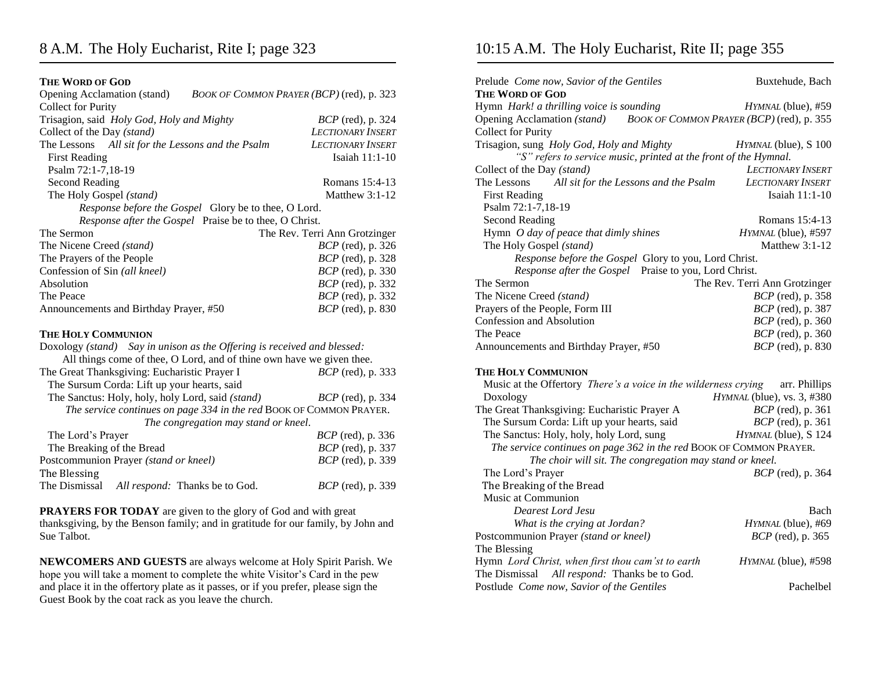## **THE WORD OF GOD**

| Opening Acclamation (stand)<br>BOOK OF COMMON PRAYER (BCP) (red), p. 323 |                               |
|--------------------------------------------------------------------------|-------------------------------|
| <b>Collect for Purity</b>                                                |                               |
| Trisagion, said Holy God, Holy and Mighty                                | <i>BCP</i> (red), p. 324      |
| Collect of the Day (stand)                                               | <b>LECTIONARY INSERT</b>      |
| The Lessons All sit for the Lessons and the Psalm                        | LECTIONARY INSERT             |
| <b>First Reading</b>                                                     | Isaiah $11:1-10$              |
| Psalm 72:1-7,18-19                                                       |                               |
| Second Reading                                                           | Romans 15:4-13                |
| The Holy Gospel (stand)                                                  | Matthew $3:1-12$              |
| Response before the Gospel Glory be to thee, O Lord.                     |                               |
| Response after the Gospel Praise be to thee, O Christ.                   |                               |
| The Sermon                                                               | The Rev. Terri Ann Grotzinger |
| The Nicene Creed (stand)                                                 | <i>BCP</i> (red), p. 326      |
| The Prayers of the People                                                | <i>BCP</i> (red), p. 328      |
| Confession of Sin (all kneel)                                            | <i>BCP</i> (red), p. 330      |
| Absolution                                                               | <i>BCP</i> (red), p. 332      |
| The Peace                                                                | <i>BCP</i> (red), p. 332      |
| Announcements and Birthday Prayer, #50                                   | <i>BCP</i> (red), p. 830      |
| <b>THE HOLY COMMUNION</b>                                                |                               |
| Doxology (stand) Say in unison as the Offering is received and blessed:  |                               |
| All things come of thee, O Lord, and of thine own have we given thee.    |                               |
| The Great Thanksgiving: Eucharistic Prayer I                             | BCP (red), p. 333             |
| The Sursum Corda: Lift up your hearts, said                              |                               |
| The Sanctus: Holy, holy, holy Lord, said (stand)                         | <i>BCP</i> (red), p. 334      |
| The service continues on page 334 in the red BOOK OF COMMON PRAYER.      |                               |
| The congregation may stand or kneel.                                     |                               |
| The Lord's Prayer                                                        | BCP (red), p. 336             |
| The Breaking of the Bread                                                | BCP (red), p. 337             |
| Postcommunion Prayer (stand or kneel)                                    | <i>BCP</i> (red), p. 339      |
| The Blessing                                                             |                               |
| The Dismissal All respond: Thanks be to God.                             | <i>BCP</i> (red), p. 339      |

**PRAYERS FOR TODAY** are given to the glory of God and with great thanksgiving, by the Benson family; and in gratitude for our family, by John and Sue Talbot.

**NEWCOMERS AND GUESTS** are always welcome at Holy Spirit Parish. We hope you will take a moment to complete the white Visitor's Card in the pew and place it in the offertory plate as it passes, or if you prefer, please sign the Guest Book by the coat rack as you leave the church.

## 10:15 A.M. The Holy Eucharist, Rite II; page 355

| Prelude Come now, Savior of the Gentiles                                                           | Buxtehude, Bach               |  |
|----------------------------------------------------------------------------------------------------|-------------------------------|--|
| <b>THE WORD OF GOD</b>                                                                             |                               |  |
| Hymn Hark! a thrilling voice is sounding                                                           | HYMNAL (blue), #59            |  |
| Opening Acclamation (stand) BOOK OF COMMON PRAYER (BCP) (red), p. 355<br><b>Collect for Purity</b> |                               |  |
| Trisagion, sung Holy God, Holy and Mighty                                                          | HYMNAL (blue), S 100          |  |
| "S" refers to service music, printed at the front of the Hymnal.                                   |                               |  |
| Collect of the Day (stand)                                                                         | <b>LECTIONARY INSERT</b>      |  |
| The Lessons<br>All sit for the Lessons and the Psalm                                               | <b>LECTIONARY INSERT</b>      |  |
| <b>First Reading</b>                                                                               | Isaiah $11:1-10$              |  |
| Psalm 72:1-7,18-19                                                                                 |                               |  |
| <b>Second Reading</b>                                                                              | Romans 15:4-13                |  |
| Hymn O day of peace that dimly shines                                                              | HYMNAL (blue), #597           |  |
| The Holy Gospel (stand)                                                                            | Matthew $3:1-12$              |  |
| Response before the Gospel Glory to you, Lord Christ.                                              |                               |  |
| Response after the Gospel Praise to you, Lord Christ.                                              |                               |  |
| The Sermon                                                                                         | The Rev. Terri Ann Grotzinger |  |
| The Nicene Creed (stand)                                                                           | BCP (red), p. 358             |  |
| Prayers of the People, Form III                                                                    | <i>BCP</i> (red), p. 387      |  |
| Confession and Absolution                                                                          | <i>BCP</i> (red), p. 360      |  |
| The Peace                                                                                          | <i>BCP</i> (red), p. 360      |  |
| Announcements and Birthday Prayer, #50                                                             | <i>BCP</i> (red), p. 830      |  |
| <b>THE HOLY COMMUNION</b>                                                                          |                               |  |
| Music at the Offertory There's a voice in the wilderness crying                                    | arr. Phillips                 |  |
| Doxology                                                                                           | HYMNAL (blue), vs. 3, #380    |  |
| The Great Thanksgiving: Eucharistic Prayer A                                                       | <i>BCP</i> (red), p. 361      |  |
| The Sursum Corda: Lift up your hearts, said                                                        | $BCP$ (red), p. 361           |  |
| The Sanctus: Holy, holy, holy Lord, sung                                                           | HYMNAL (blue), S 124          |  |
| The service continues on page 362 in the red BOOK OF COMMON PRAYER.                                |                               |  |
| The choir will sit. The congregation may stand or kneel.                                           |                               |  |
| The Lord's Prayer                                                                                  | <i>BCP</i> (red), p. 364      |  |
| The Breaking of the Bread                                                                          |                               |  |
| Music at Communion                                                                                 |                               |  |
| Dearest Lord Jesu                                                                                  | Bach                          |  |
| What is the crying at Jordan?                                                                      | HYMNAL (blue), #69            |  |
| Postcommunion Prayer (stand or kneel)                                                              | <i>BCP</i> (red), p. 365      |  |
| The Blessing                                                                                       |                               |  |

Hymn *Lord Christ, when first thou cam'st to earth HYMNAL* (blue)*,* #598 The Dismissal *All respond:* Thanks be to God. Postlude *Come now, Savior of the Gentiles* Pachelbel